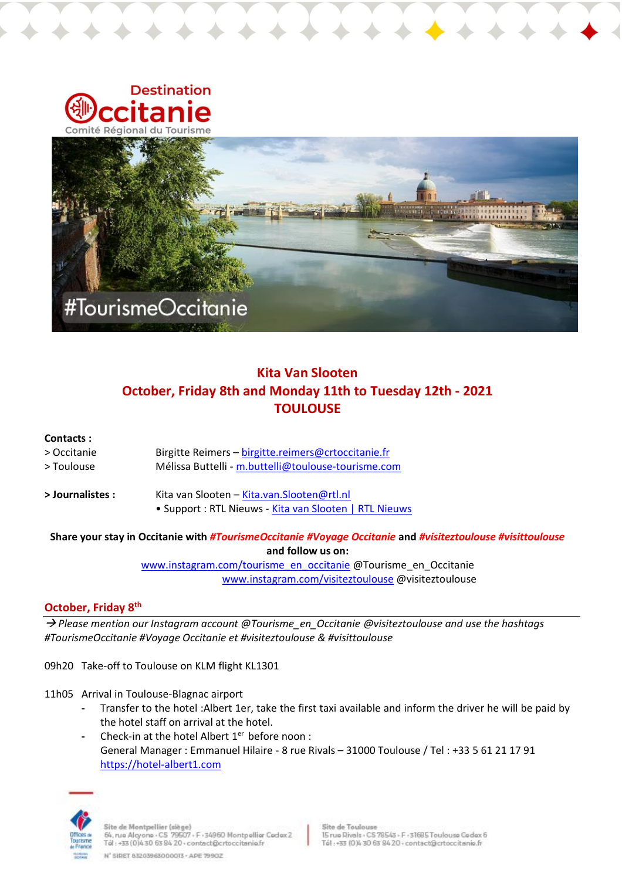

# **Kita Van Slooten October, Friday 8th and Monday 11th to Tuesday 12th - 2021 TOULOUSE**

### **Contacts :**

| > Journalistes : | Kita van Slooten – Kita.van. Slooten@rtl.nl         |
|------------------|-----------------------------------------------------|
| > Toulouse       | Mélissa Buttelli - m.buttelli@toulouse-tourisme.com |
| > Occitanie      | Birgitte Reimers – birgitte.reimers@crtoccitanie.fr |

• Support : RTL Nieuws - [Kita van Slooten | RTL Nieuws](https://www.rtlnieuws.nl/tags/personen/kita-van-slooten)

#### **Share your stay in Occitanie with** *#TourismeOccitanie #Voyage Occitanie* **and** *#visiteztoulouse #visittoulouse* **and follow us on:**

[www.instagram.com/tourisme\\_en\\_occitanie](http://www.instagram.com/tourisme_en_occitanie) @Tourisme\_en\_Occitanie [www.instagram.com/visiteztoulouse](http://www.instagram.com/visiteztoulouse/) @visiteztoulouse

## **October, Friday 8th**

→ *Please mention our Instagram account @Tourisme\_en\_Occitanie @visiteztoulouse and use the hashtags #TourismeOccitanie #Voyage Occitanie et #visiteztoulouse & #visittoulouse*

09h20 Take-off to Toulouse on KLM flight KL1301

- 11h05 Arrival in Toulouse-Blagnac airport
	- **-** Transfer to the hotel :Albert 1er, take the first taxi available and inform the driver he will be paid by the hotel staff on arrival at the hotel.
	- **-** Check-in at the hotel Albert 1er before noon : General Manager : Emmanuel Hilaire - 8 rue Rivals – 31000 Toulouse / Tel : +33 5 61 21 17 91 [https://hotel-albert1.com](https://hotel-albert1.com/)

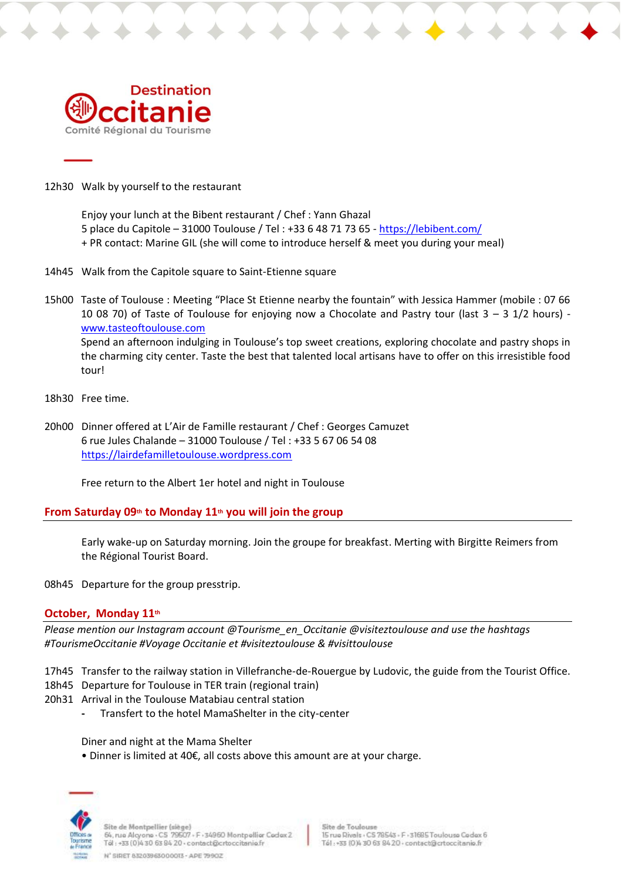

12h30 Walk by yourself to the restaurant

Enjoy your lunch at the Bibent restaurant / Chef : Yann Ghazal 5 place du Capitole – 31000 Toulouse / Tel : +33 6 48 71 73 65 - <https://lebibent.com/> + PR contact: Marine GIL (she will come to introduce herself & meet you during your meal)

14h45 Walk from the Capitole square to Saint-Etienne square

15h00 Taste of Toulouse : Meeting "Place St Etienne nearby the fountain" with Jessica Hammer (mobile : 07 66 10 08 70) of Taste of Toulouse for enjoying now a Chocolate and Pastry tour (last 3 – 3 1/2 hours) [www.tasteoftoulouse.com](http://www.tasteoftoulouse.com/) Spend an afternoon indulging in Toulouse's top sweet creations, exploring chocolate and pastry shops in the charming city center. Taste the best that talented local artisans have to offer on this irresistible food tour!

- 18h30 Free time.
- 20h00 Dinner offered at L'Air de Famille restaurant / Chef : Georges Camuzet 6 rue Jules Chalande – 31000 Toulouse / Tel : +33 5 67 06 54 08 [https://lairdefamilletoulouse.wordpress.com](https://lairdefamilletoulouse.wordpress.com/)

Free return to the Albert 1er hotel and night in Toulouse

### **From Saturday 09th to Monday 11th you will join the group**

Early wake-up on Saturday morning. Join the groupe for breakfast. Merting with Birgitte Reimers from the Régional Tourist Board.

08h45 Departure for the group presstrip.

### **October,  Monday 11th**

*Please mention our Instagram account @Tourisme\_en\_Occitanie @visiteztoulouse and use the hashtags #TourismeOccitanie #Voyage Occitanie et #visiteztoulouse & #visittoulouse*

- 17h45 Transfer to the railway station in Villefranche-de-Rouergue by Ludovic, the guide from the Tourist Office.
- 18h45 Departure for Toulouse in TER train (regional train)
- 20h31 Arrival in the Toulouse Matabiau central station
	- **-** Transfert to the hotel MamaShelter in the city-center

Diner and night at the Mama Shelter

• Dinner is limited at 40€, all costs above this amount are at your charge.